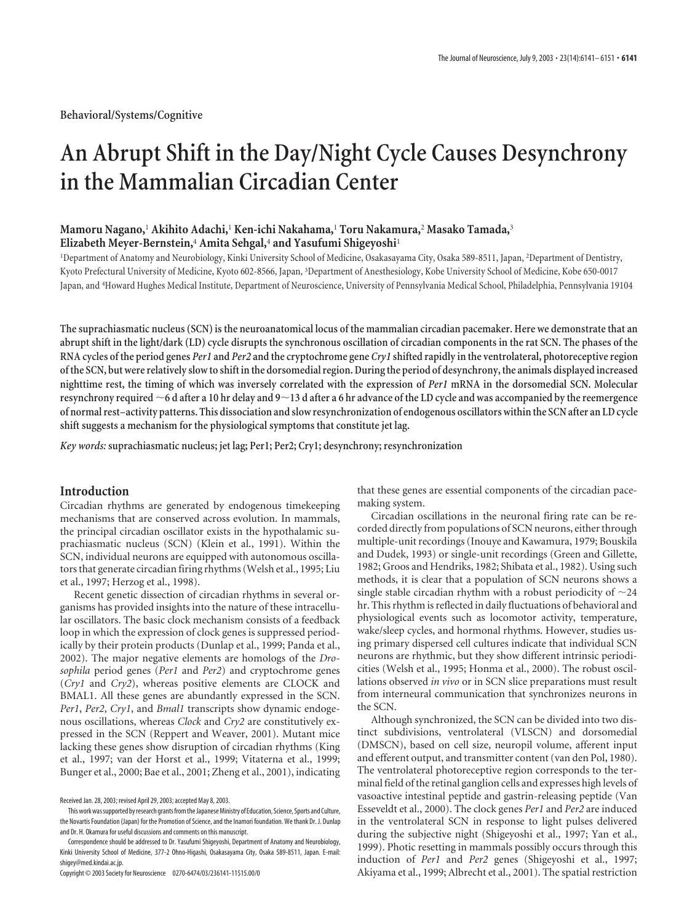# **An Abrupt Shift in the Day/Night Cycle Causes Desynchrony in the Mammalian Circadian Center**

# **Mamoru Nagano,**<sup>1</sup> **Akihito Adachi,**<sup>1</sup> **Ken-ichi Nakahama,**<sup>1</sup> **Toru Nakamura,**<sup>2</sup> **Masako Tamada,**<sup>3</sup> **Elizabeth Meyer-Bernstein,**<sup>4</sup> **Amita Sehgal,**<sup>4</sup> **and Yasufumi Shigeyoshi**<sup>1</sup>

1 Department of Anatomy and Neurobiology, Kinki University School of Medicine, Osakasayama City, Osaka 589-8511, Japan, <sup>2</sup> Department of Dentistry, Kyoto Prefectural University of Medicine, Kyoto 602-8566, Japan, <sup>3</sup> Department of Anesthesiology, Kobe University School of Medicine, Kobe 650-0017 Japan, and <sup>4</sup> Howard Hughes Medical Institute, Department of Neuroscience, University of Pennsylvania Medical School, Philadelphia, Pennsylvania 19104

**The suprachiasmatic nucleus (SCN) is the neuroanatomical locus of the mammalian circadian pacemaker. Here we demonstrate that an abrupt shift in the light/dark (LD) cycle disrupts the synchronous oscillation of circadian components in the rat SCN. The phases of the RNA cycles of the period genes** *Per1* **and** *Per2* **and the cryptochrome gene** *Cry1* **shifted rapidly in the ventrolateral, photoreceptive region of the SCN, but were relatively slow to shift in the dorsomedial region. During the period of desynchrony, the animals displayed increased nighttime rest, the timing of which was inversely correlated with the expression of** *Per1* **mRNA in the dorsomedial SCN. Molecular resynchrony required 6 d after a 10 hr delay and 913 d after a 6 hr advance of the LD cycle and was accompanied by the reemergence of normal rest–activity patterns. This dissociation and slow resynchronization of endogenous oscillators within the SCN after an LD cycle shift suggests a mechanism for the physiological symptoms that constitute jet lag.**

*Key words:* **suprachiasmatic nucleus; jet lag; Per1; Per2; Cry1; desynchrony; resynchronization**

## **Introduction**

Circadian rhythms are generated by endogenous timekeeping mechanisms that are conserved across evolution. In mammals, the principal circadian oscillator exists in the hypothalamic suprachiasmatic nucleus (SCN) (Klein et al., 1991). Within the SCN, individual neurons are equipped with autonomous oscillators that generate circadian firing rhythms (Welsh et al., 1995; Liu et al., 1997; Herzog et al., 1998).

Recent genetic dissection of circadian rhythms in several organisms has provided insights into the nature of these intracellular oscillators. The basic clock mechanism consists of a feedback loop in which the expression of clock genes is suppressed periodically by their protein products (Dunlap et al., 1999; Panda et al., 2002). The major negative elements are homologs of the *Drosophila* period genes (*Per1* and *Per2*) and cryptochrome genes (*Cry1* and *Cry2*), whereas positive elements are CLOCK and BMAL1. All these genes are abundantly expressed in the SCN. *Per1*, *Per2*, *Cry1*, and *Bmal1* transcripts show dynamic endogenous oscillations, whereas *Clock* and *Cry2* are constitutively expressed in the SCN (Reppert and Weaver, 2001). Mutant mice lacking these genes show disruption of circadian rhythms (King et al., 1997; van der Horst et al., 1999; Vitaterna et al., 1999; Bunger et al., 2000; Bae et al., 2001; Zheng et al., 2001), indicating

that these genes are essential components of the circadian pacemaking system.

Circadian oscillations in the neuronal firing rate can be recorded directly from populations of SCN neurons, either through multiple-unit recordings (Inouye and Kawamura, 1979; Bouskila and Dudek, 1993) or single-unit recordings (Green and Gillette, 1982; Groos and Hendriks, 1982; Shibata et al., 1982). Using such methods, it is clear that a population of SCN neurons shows a single stable circadian rhythm with a robust periodicity of  $\sim$ 24 hr. This rhythm is reflected in daily fluctuations of behavioral and physiological events such as locomotor activity, temperature, wake/sleep cycles, and hormonal rhythms. However, studies using primary dispersed cell cultures indicate that individual SCN neurons are rhythmic, but they show different intrinsic periodicities (Welsh et al., 1995; Honma et al., 2000). The robust oscillations observed *in vivo* or in SCN slice preparations must result from interneural communication that synchronizes neurons in the SCN.

Although synchronized, the SCN can be divided into two distinct subdivisions, ventrolateral (VLSCN) and dorsomedial (DMSCN), based on cell size, neuropil volume, afferent input and efferent output, and transmitter content (van den Pol, 1980). The ventrolateral photoreceptive region corresponds to the terminal field of the retinal ganglion cells and expresses high levels of vasoactive intestinal peptide and gastrin-releasing peptide (Van Esseveldt et al., 2000). The clock genes *Per1* and *Per2* are induced in the ventrolateral SCN in response to light pulses delivered during the subjective night (Shigeyoshi et al., 1997; Yan et al., 1999). Photic resetting in mammals possibly occurs through this induction of *Per1* and *Per2* genes (Shigeyoshi et al., 1997; Akiyama et al., 1999; Albrecht et al., 2001). The spatial restriction

Received Jan. 28, 2003; revised April 29, 2003; accepted May 8, 2003.

This work was supported by research grants from the Japanese Ministry of Education, Science, Sports and Culture, the Novartis Foundation (Japan) for the Promotion of Science, and the Inamori foundation. We thank Dr. J. Dunlap and Dr. H. Okamura for useful discussions and comments on this manuscript.

Correspondence should be addressed to Dr. Yasufumi Shigeyoshi, Department of Anatomy and Neurobiology, Kinki University School of Medicine, 377-2 Ohno-Higashi, Osakasayama City, Osaka 589-8511, Japan. E-mail: shigey@med.kindai.ac.jp.

Copyright © 2003 Society for Neuroscience 0270-6474/03/236141-11\$15.00/0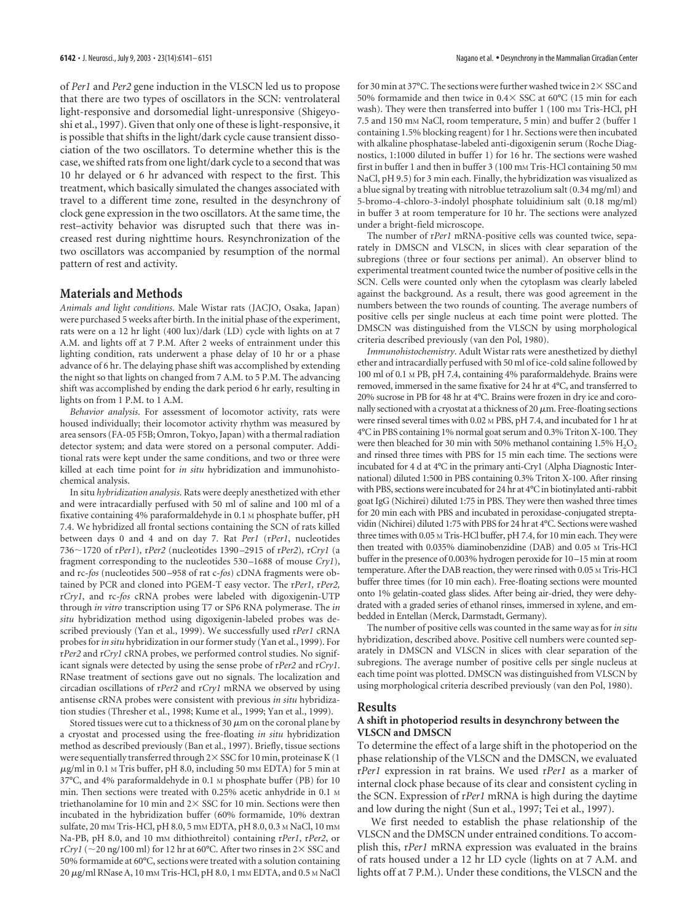of *Per1* and *Per2* gene induction in the VLSCN led us to propose that there are two types of oscillators in the SCN: ventrolateral light-responsive and dorsomedial light-unresponsive (Shigeyoshi et al., 1997). Given that only one of these is light-responsive, it is possible that shifts in the light/dark cycle cause transient dissociation of the two oscillators. To determine whether this is the case, we shifted rats from one light/dark cycle to a second that was 10 hr delayed or 6 hr advanced with respect to the first. This treatment, which basically simulated the changes associated with travel to a different time zone, resulted in the desynchrony of clock gene expression in the two oscillators. At the same time, the rest–activity behavior was disrupted such that there was increased rest during nighttime hours. Resynchronization of the two oscillators was accompanied by resumption of the normal pattern of rest and activity.

## **Materials and Methods**

*Animals and light conditions*. Male Wistar rats (JACJO, Osaka, Japan) were purchased 5 weeks after birth. In the initial phase of the experiment, rats were on a 12 hr light (400 lux)/dark (LD) cycle with lights on at 7 A.M. and lights off at 7 P.M. After 2 weeks of entrainment under this lighting condition, rats underwent a phase delay of 10 hr or a phase advance of 6 hr. The delaying phase shift was accomplished by extending the night so that lights on changed from 7 A.M. to 5 P.M. The advancing shift was accomplished by ending the dark period 6 hr early, resulting in lights on from 1 P.M. to 1 A.M.

*Behavior analysis*. For assessment of locomotor activity, rats were housed individually; their locomotor activity rhythm was measured by area sensors (FA-05 F5B; Omron, Tokyo, Japan) with a thermal radiation detector system; and data were stored on a personal computer. Additional rats were kept under the same conditions, and two or three were killed at each time point for *in situ* hybridization and immunohistochemical analysis.

In situ *hybridization analysis*. Rats were deeply anesthetized with ether and were intracardially perfused with 50 ml of saline and 100 ml of a fixative containing 4% paraformaldehyde in 0.1 M phosphate buffer, pH 7.4. We hybridized all frontal sections containing the SCN of rats killed between days 0 and 4 and on day 7. Rat *Per1* (r*Per1*, nucleotides 7361720 of r*Per1*), r*Per2* (nucleotides 1390 –2915 of r*Per2*)*,* r*Cry1* (a fragment corresponding to the nucleotides 530 –1688 of mouse *Cry1*), and rc-*fos* (nucleotides 500 –958 of rat c-*fos*) cDNA fragments were obtained by PCR and cloned into PGEM-T easy vector. The r*Per1,* r*Per2,* r*Cry1*, and rc*-fos* cRNA probes were labeled with digoxigenin-UTP through *in vitro* transcription using T7 or SP6 RNA polymerase. The *in situ* hybridization method using digoxigenin-labeled probes was described previously (Yan et al., 1999). We successfully used r*Per1* cRNA probes for*in situ* hybridization in our former study (Yan et al., 1999). For r*Per2* and r*Cry1* cRNA probes, we performed control studies. No significant signals were detected by using the sense probe of r*Per2* and r*Cry1*. RNase treatment of sections gave out no signals. The localization and circadian oscillations of r*Per2* and r*Cry1* mRNA we observed by using antisense cRNA probes were consistent with previous *in situ* hybridization studies (Thresher et al., 1998; Kume et al., 1999; Yan et al., 1999).

Stored tissues were cut to a thickness of 30  $\mu$ m on the coronal plane by a cryostat and processed using the free-floating *in situ* hybridization method as described previously (Ban et al., 1997). Briefly, tissue sections were sequentially transferred through 2 $\times$  SSC for 10 min, proteinase K (1  $\mu$ g/ml in 0.1 M Tris buffer, pH 8.0, including 50 mM EDTA) for 5 min at 37°C, and 4% paraformaldehyde in 0.1 M phosphate buffer (PB) for 10 min. Then sections were treated with 0.25% acetic anhydride in 0.1 M triethanolamine for 10 min and  $2\times$  SSC for 10 min. Sections were then incubated in the hybridization buffer (60% formamide, 10% dextran sulfate, 20 mm Tris-HCl, pH 8.0, 5 mm EDTA, pH 8.0, 0.3 m NaCl, 10 mm Na-PB, pH 8.0, and 10 mM dithiothreitol) containing r*Per1*, r*Per2*, or r*Cry1* ( $\sim$ 20 ng/100 ml) for 12 hr at 60°C. After two rinses in 2 $\times$  SSC and 50% formamide at 60°C, sections were treated with a solution containing  $20 \mu$ g/ml RNase A, 10 mm Tris-HCl, pH 8.0, 1 mm EDTA, and 0.5 m NaCl

for 30 min at 37°C. The sections were further washed twice in 2 $\times$  SSC and 50% formamide and then twice in  $0.4 \times$  SSC at 60°C (15 min for each wash). They were then transferred into buffer 1 (100 mm Tris-HCl, pH 7.5 and 150 mM NaCl, room temperature, 5 min) and buffer 2 (buffer 1 containing 1.5% blocking reagent) for 1 hr. Sections were then incubated with alkaline phosphatase-labeled anti-digoxigenin serum (Roche Diagnostics, 1:1000 diluted in buffer 1) for 16 hr. The sections were washed first in buffer 1 and then in buffer 3 (100 mm Tris-HCl containing 50 mm NaCl, pH 9.5) for 3 min each. Finally, the hybridization was visualized as a blue signal by treating with nitroblue tetrazolium salt (0.34 mg/ml) and 5-bromo-4-chloro-3-indolyl phosphate toluidinium salt (0.18 mg/ml) in buffer 3 at room temperature for 10 hr. The sections were analyzed under a bright-field microscope.

The number of r*Per1* mRNA-positive cells was counted twice, separately in DMSCN and VLSCN, in slices with clear separation of the subregions (three or four sections per animal). An observer blind to experimental treatment counted twice the number of positive cells in the SCN. Cells were counted only when the cytoplasm was clearly labeled against the background. As a result, there was good agreement in the numbers between the two rounds of counting. The average numbers of positive cells per single nucleus at each time point were plotted. The DMSCN was distinguished from the VLSCN by using morphological criteria described previously (van den Pol, 1980).

*Immunohistochemistry*. Adult Wistar rats were anesthetized by diethyl ether and intracardially perfused with 50 ml of ice-cold saline followed by 100 ml of 0.1 M PB, pH 7.4, containing 4% paraformaldehyde. Brains were removed, immersed in the same fixative for 24 hr at 4°C, and transferred to 20% sucrose in PB for 48 hr at 4°C. Brains were frozen in dry ice and coronally sectioned with a cryostat at a thickness of 20  $\mu$ m. Free-floating sections were rinsed several times with 0.02 M PBS, pH 7.4, and incubated for 1 hr at 4°C in PBS containing 1% normal goat serum and 0.3% Triton X-100. They were then bleached for 30 min with 50% methanol containing  $1.5\%$   $H_2O_2$ and rinsed three times with PBS for 15 min each time. The sections were incubated for 4 d at 4°C in the primary anti-Cry1 (Alpha Diagnostic International) diluted 1:500 in PBS containing 0.3% Triton X-100. After rinsing with PBS, sections were incubated for 24 hr at 4°C in biotinylated anti-rabbit goat IgG (Nichirei) diluted 1:75 in PBS. They were then washed three times for 20 min each with PBS and incubated in peroxidase-conjugated streptavidin (Nichirei) diluted 1:75 with PBS for 24 hr at 4°C. Sections were washed three times with 0.05 M Tris-HCl buffer, pH 7.4, for 10 min each. They were then treated with 0.035% diaminobenzidine (DAB) and 0.05 M Tris-HCl buffer in the presence of 0.003% hydrogen peroxide for 10–15 min at room temperature. After the DAB reaction, they were rinsed with 0.05 M Tris-HCl buffer three times (for 10 min each). Free-floating sections were mounted onto 1% gelatin-coated glass slides. After being air-dried, they were dehydrated with a graded series of ethanol rinses, immersed in xylene, and embedded in Entellan (Merck, Darmstadt, Germany).

The number of positive cells was counted in the same way as for *in situ* hybridization, described above. Positive cell numbers were counted separately in DMSCN and VLSCN in slices with clear separation of the subregions. The average number of positive cells per single nucleus at each time point was plotted. DMSCN was distinguished from VLSCN by using morphological criteria described previously (van den Pol, 1980).

#### **Results**

#### **A shift in photoperiod results in desynchrony between the VLSCN and DMSCN**

To determine the effect of a large shift in the photoperiod on the phase relationship of the VLSCN and the DMSCN, we evaluated r*Per1* expression in rat brains. We used r*Per1* as a marker of internal clock phase because of its clear and consistent cycling in the SCN. Expression of r*Per1* mRNA is high during the daytime and low during the night (Sun et al., 1997; Tei et al., 1997).

We first needed to establish the phase relationship of the VLSCN and the DMSCN under entrained conditions. To accomplish this, r*Per1* mRNA expression was evaluated in the brains of rats housed under a 12 hr LD cycle (lights on at 7 A.M. and lights off at 7 P.M.). Under these conditions, the VLSCN and the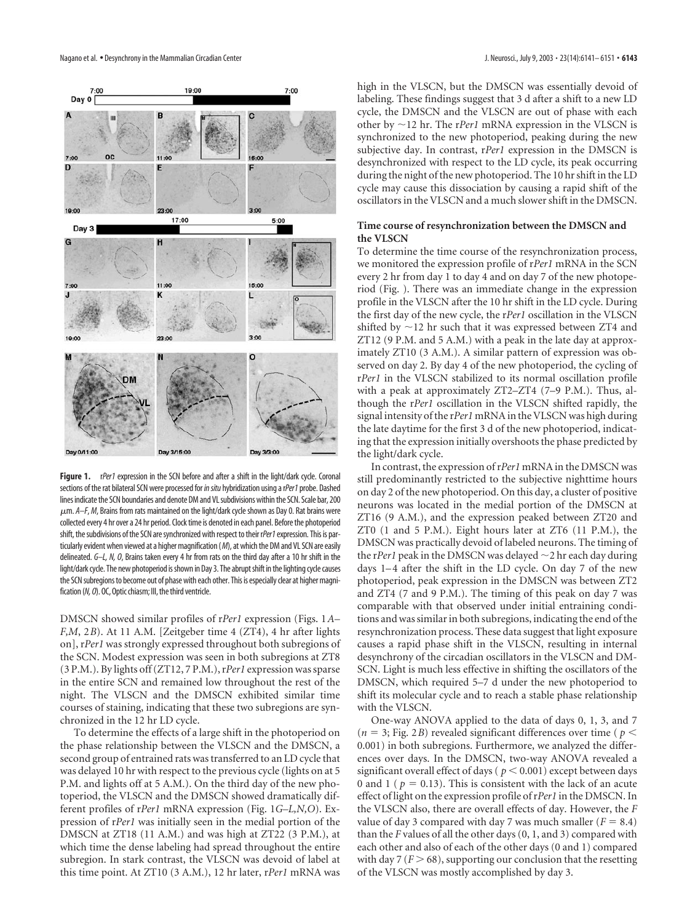

**Figure 1.** rPer1 expression in the SCN before and after a shift in the light/dark cycle. Coronal sections of the rat bilateral SCN were processed for *in situ* hybridization using a rPer1 probe. Dashed lines indicate the SCN boundaries and denote DM and VL subdivisions within the SCN. Scale bar, 200 m. *A–F*, *M*, Brains from rats maintained on the light/dark cycle shown as Day 0. Rat brains were collected every 4 hr over a 24 hr period. Clock time is denoted in each panel. Before the photoperiod shift, the subdivisions of the SCN are synchronized with respect to their rPer1 expression. This is particularly evident when viewed at a higher magnification (*M*), at which the DM and VL SCN are easily delineated. *G–L, N, O*, Brains taken every 4 hr from rats on the third day after a 10 hr shift in the light/dark cycle. The new photoperiod is shown in Day 3. The abrupt shift in the lighting cycle causes the SCN subregions to become out of phase with each other. This is especially clear at higher magnification (*N, O*). OC, Optic chiasm; III, the third ventricle.

DMSCN showed similar profiles of r*Per1* expression (Figs. 1*A– F,M*, 2*B*). At 11 A.M. [Zeitgeber time 4 (ZT4), 4 hr after lights on], r*Per1* was strongly expressed throughout both subregions of the SCN. Modest expression was seen in both subregions at ZT8 (3 P.M.). By lights off (ZT12, 7 P.M.), r*Per1* expression was sparse in the entire SCN and remained low throughout the rest of the night. The VLSCN and the DMSCN exhibited similar time courses of staining, indicating that these two subregions are synchronized in the 12 hr LD cycle.

To determine the effects of a large shift in the photoperiod on the phase relationship between the VLSCN and the DMSCN, a second group of entrained rats was transferred to an LD cycle that was delayed 10 hr with respect to the previous cycle (lights on at 5 P.M. and lights off at 5 A.M.). On the third day of the new photoperiod, the VLSCN and the DMSCN showed dramatically different profiles of r*Per1* mRNA expression (Fig. 1*G–L,N,O*). Expression of r*Per1* was initially seen in the medial portion of the DMSCN at ZT18 (11 A.M.) and was high at ZT22 (3 P.M.), at which time the dense labeling had spread throughout the entire subregion. In stark contrast, the VLSCN was devoid of label at this time point. At ZT10 (3 A.M.), 12 hr later, r*Per1* mRNA was

high in the VLSCN, but the DMSCN was essentially devoid of labeling. These findings suggest that 3 d after a shift to a new LD cycle, the DMSCN and the VLSCN are out of phase with each other by  $\sim$ 12 hr. The r*Per1* mRNA expression in the VLSCN is synchronized to the new photoperiod, peaking during the new subjective day. In contrast, r*Per1* expression in the DMSCN is desynchronized with respect to the LD cycle, its peak occurring during the night of the new photoperiod. The 10 hr shift in the LD cycle may cause this dissociation by causing a rapid shift of the oscillators in the VLSCN and a much slower shift in the DMSCN.

#### **Time course of resynchronization between the DMSCN and the VLSCN**

To determine the time course of the resynchronization process, we monitored the expression profile of r*Per1* mRNA in the SCN every 2 hr from day 1 to day 4 and on day 7 of the new photoperiod (Fig. ). There was an immediate change in the expression profile in the VLSCN after the 10 hr shift in the LD cycle. During the first day of the new cycle, the r*Per1* oscillation in the VLSCN shifted by  $\sim$  12 hr such that it was expressed between ZT4 and ZT12 (9 P.M. and 5 A.M.) with a peak in the late day at approximately ZT10 (3 A.M.). A similar pattern of expression was observed on day 2. By day 4 of the new photoperiod, the cycling of r*Per1* in the VLSCN stabilized to its normal oscillation profile with a peak at approximately ZT2–ZT4 (7–9 P.M.). Thus, although the r*Per1* oscillation in the VLSCN shifted rapidly, the signal intensity of the r*Per1* mRNA in the VLSCN was high during the late daytime for the first 3 d of the new photoperiod, indicating that the expression initially overshoots the phase predicted by the light/dark cycle.

In contrast, the expression of r*Per1* mRNA in the DMSCN was still predominantly restricted to the subjective nighttime hours on day 2 of the new photoperiod. On this day, a cluster of positive neurons was located in the medial portion of the DMSCN at ZT16 (9 A.M.), and the expression peaked between ZT20 and ZT0 (1 and 5 P.M.). Eight hours later at ZT6 (11 P.M.), the DMSCN was practically devoid of labeled neurons. The timing of the rPer1 peak in the DMSCN was delayed  $\sim$  2 hr each day during days 1–4 after the shift in the LD cycle. On day 7 of the new photoperiod, peak expression in the DMSCN was between ZT2 and ZT4 (7 and 9 P.M.). The timing of this peak on day 7 was comparable with that observed under initial entraining conditions and was similar in both subregions, indicating the end of the resynchronization process. These data suggest that light exposure causes a rapid phase shift in the VLSCN, resulting in internal desynchrony of the circadian oscillators in the VLSCN and DM-SCN. Light is much less effective in shifting the oscillators of the DMSCN, which required 5–7 d under the new photoperiod to shift its molecular cycle and to reach a stable phase relationship with the VLSCN.

One-way ANOVA applied to the data of days 0, 1, 3, and 7  $(n = 3; Fig. 2B)$  revealed significant differences over time ( $p <$ 0.001) in both subregions. Furthermore, we analyzed the differences over days. In the DMSCN, two-way ANOVA revealed a significant overall effect of days ( $p < 0.001$ ) except between days 0 and 1 ( $p = 0.13$ ). This is consistent with the lack of an acute effect of light on the expression profile of r*Per1* in the DMSCN. In the VLSCN also, there are overall effects of day. However, the *F* value of day 3 compared with day 7 was much smaller  $(F = 8.4)$ than the *F* values of all the other days (0, 1, and 3) compared with each other and also of each of the other days (0 and 1) compared with day 7 ( $F > 68$ ), supporting our conclusion that the resetting of the VLSCN was mostly accomplished by day 3.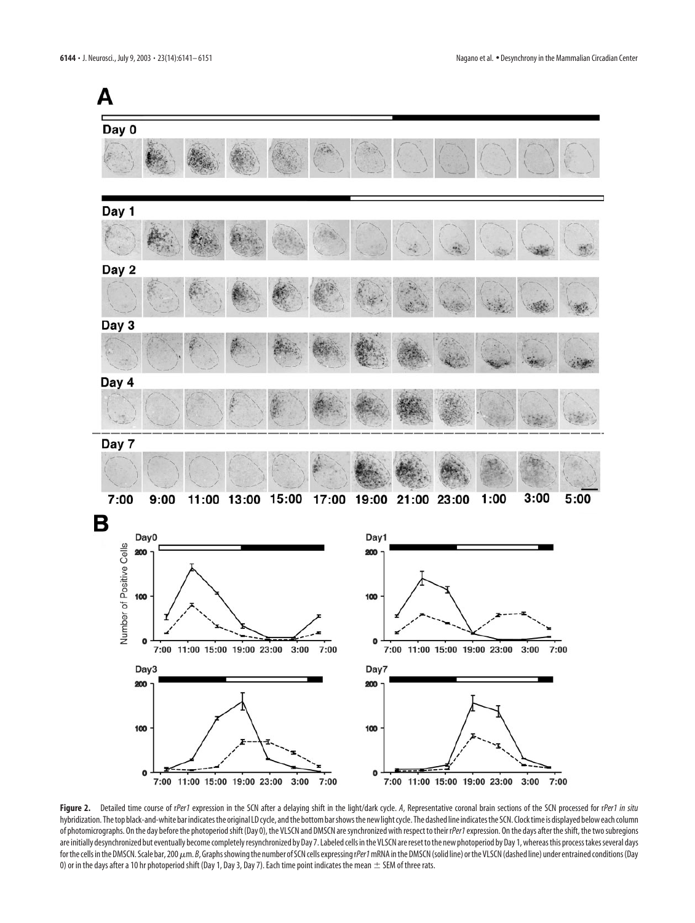

Figure 2. Detailed time course of rPer1 expression in the SCN after a delaying shift in the light/dark cycle. A, Representative coronal brain sections of the SCN processed for rPer1 in situ hybridization. The top black-and-white bar indicates the original LD cycle, and the bottom bar shows the new light cycle. The dashed line indicates the SCN. Clock time is displayed below each column of photomicrographs. On the day before the photoperiod shift (Day 0), the VLSCN and DMSCN are synchronized with respect to their r*Per1*expression. On the days after the shift, the two subregions are initially desynchronized but eventually become completely resynchronized by Day 7. Labeled cells in the VLSCN are reset to the new photoperiod by Day 1, whereas this process takes several days for the cells in the DMSCN. Scale bar, 200  $\mu$ m. *B*, Graphs showing the number of SCN cells expressing rPer1 mRNA in the DMSCN (solid line) or the VLSCN (dashed line) under entrained conditions (Day 0) or in the days after a 10 hr photoperiod shift (Day 1, Day 3, Day 7). Each time point indicates the mean  $\pm$  SEM of three rats.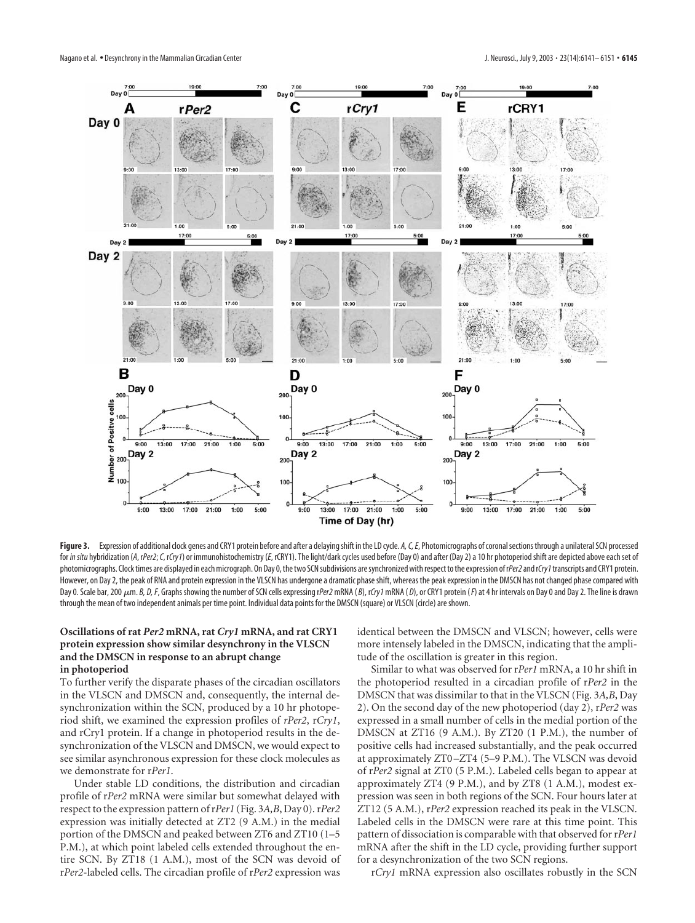

Figure 3. Expression of additional clock genes and CRY1 protein before and after a delaying shift in the LD cycle. *A, C, E*, Photomicrographs of coronal sections through a unilateral SCN processed for in situ hybridization (A, rPer2; C, rCry1) or immunohistochemistry (E, rCRY1). The light/dark cycles used before (Day 0) and after (Day 2) a 10 hr photoperiod shift are depicted above each set of photomicrographs. Clock times are displayed in each micrograph. On Day 0, the two SCN subdivisions are synchronized with respect to the expression ofr*Per2*and r*Cry1*transcripts and CRY1 protein. However, on Day 2, the peak of RNA and protein expression in the VLSCN has undergone a dramatic phase shift, whereas the peak expression in the DMSCN has not changed phase compared with Day 0. Scale bar, 200  $\mu$ m. B, D, F, Graphs showing the number of SCN cells expressing rPer2 mRNA (B), rCry1 mRNA (D), or CRY1 protein (F) at 4 hr intervals on Day 0 and Day 2. The line is drawn through the mean of two independent animals per time point. Individual data points for the DMSCN (square) or VLSCN (circle) are shown.

#### **Oscillations of rat** *Per2* **mRNA, rat** *Cry1* **mRNA, and rat CRY1 protein expression show similar desynchrony in the VLSCN and the DMSCN in response to an abrupt change in photoperiod**

To further verify the disparate phases of the circadian oscillators in the VLSCN and DMSCN and, consequently, the internal desynchronization within the SCN, produced by a 10 hr photoperiod shift, we examined the expression profiles of *rPer2*, r*Cry1*, and rCry1 protein. If a change in photoperiod results in the desynchronization of the VLSCN and DMSCN, we would expect to see similar asynchronous expression for these clock molecules as we demonstrate for r*Per1*.

Under stable LD conditions, the distribution and circadian profile of r*Per2* mRNA were similar but somewhat delayed with respect to the expression pattern of r*Per1* (Fig. 3*A,B*, Day 0). r*Per2* expression was initially detected at ZT2 (9 A.M.) in the medial portion of the DMSCN and peaked between ZT6 and ZT10 (1–5 P.M.), at which point labeled cells extended throughout the entire SCN. By ZT18 (1 A.M.), most of the SCN was devoid of r*Per2*-labeled cells. The circadian profile of r*Per2* expression was

identical between the DMSCN and VLSCN; however, cells were more intensely labeled in the DMSCN, indicating that the amplitude of the oscillation is greater in this region.

Similar to what was observed for r*Per1* mRNA, a 10 hr shift in the photoperiod resulted in a circadian profile of r*Per2* in the DMSCN that was dissimilar to that in the VLSCN (Fig. 3*A,B*, Day 2). On the second day of the new photoperiod (day 2), r*Per2* was expressed in a small number of cells in the medial portion of the DMSCN at ZT16 (9 A.M.). By ZT20 (1 P.M.), the number of positive cells had increased substantially, and the peak occurred at approximately ZT0–ZT4 (5–9 P.M.). The VLSCN was devoid of r*Per2* signal at ZT0 (5 P.M.). Labeled cells began to appear at approximately ZT4 (9 P.M.), and by ZT8 (1 A.M.), modest expression was seen in both regions of the SCN. Four hours later at ZT12 (5 A.M.), r*Per2* expression reached its peak in the VLSCN. Labeled cells in the DMSCN were rare at this time point. This pattern of dissociation is comparable with that observed for r*Per1* mRNA after the shift in the LD cycle, providing further support for a desynchronization of the two SCN regions.

r*Cry1* mRNA expression also oscillates robustly in the SCN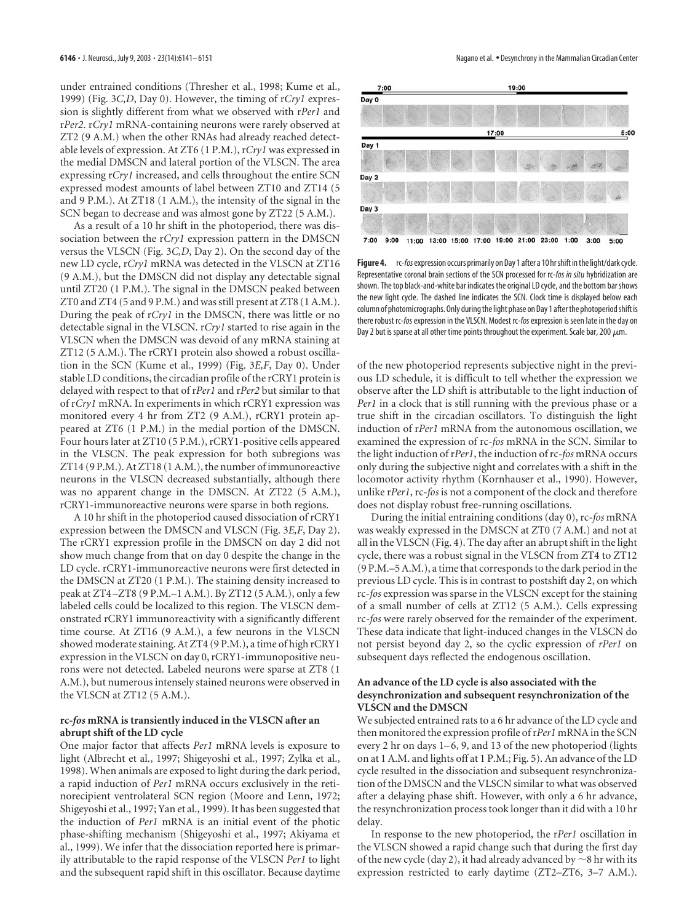under entrained conditions (Thresher et al., 1998; Kume et al., 1999) (Fig. 3*C,D*, Day 0). However, the timing of r*Cry1* expression is slightly different from what we observed with r*Per1* and r*Per2*. r*Cry1* mRNA-containing neurons were rarely observed at ZT2 (9 A.M.) when the other RNAs had already reached detectable levels of expression. At ZT6 (1 P.M.), r*Cry1* was expressed in the medial DMSCN and lateral portion of the VLSCN. The area expressing r*Cry1* increased, and cells throughout the entire SCN expressed modest amounts of label between ZT10 and ZT14 (5 and 9 P.M.). At ZT18 (1 A.M.), the intensity of the signal in the SCN began to decrease and was almost gone by ZT22 (5 A.M.).

As a result of a 10 hr shift in the photoperiod, there was dissociation between the r*Cry1* expression pattern in the DMSCN versus the VLSCN (Fig. 3*C,D*, Day 2). On the second day of the new LD cycle, r*Cry1* mRNA was detected in the VLSCN at ZT16 (9 A.M.), but the DMSCN did not display any detectable signal until ZT20 (1 P.M.). The signal in the DMSCN peaked between ZT0 and ZT4 (5 and 9 P.M.) and was still present at ZT8 (1 A.M.). During the peak of r*Cry1* in the DMSCN, there was little or no detectable signal in the VLSCN. r*Cry1* started to rise again in the VLSCN when the DMSCN was devoid of any mRNA staining at ZT12 (5 A.M.). The rCRY1 protein also showed a robust oscillation in the SCN (Kume et al., 1999) (Fig. 3*E,F*, Day 0). Under stable LD conditions, the circadian profile of the rCRY1 protein is delayed with respect to that of r*Per1* and r*Per2* but similar to that of r*Cry1* mRNA. In experiments in which rCRY1 expression was monitored every 4 hr from ZT2 (9 A.M.), rCRY1 protein appeared at ZT6 (1 P.M.) in the medial portion of the DMSCN. Four hours later at ZT10 (5 P.M.), rCRY1-positive cells appeared in the VLSCN. The peak expression for both subregions was ZT14 (9 P.M.). At ZT18 (1 A.M.), the number of immunoreactive neurons in the VLSCN decreased substantially, although there was no apparent change in the DMSCN. At ZT22 (5 A.M.), rCRY1-immunoreactive neurons were sparse in both regions.

A 10 hr shift in the photoperiod caused dissociation of rCRY1 expression between the DMSCN and VLSCN (Fig. 3*E,F*, Day 2). The rCRY1 expression profile in the DMSCN on day 2 did not show much change from that on day 0 despite the change in the LD cycle. rCRY1-immunoreactive neurons were first detected in the DMSCN at ZT20 (1 P.M.). The staining density increased to peak at ZT4–ZT8 (9 P.M.–1 A.M.). By ZT12 (5 A.M.), only a few labeled cells could be localized to this region. The VLSCN demonstrated rCRY1 immunoreactivity with a significantly different time course. At ZT16 (9 A.M.), a few neurons in the VLSCN showed moderate staining. At ZT4 (9 P.M.), a time of high rCRY1 expression in the VLSCN on day 0, rCRY1-immunopositive neurons were not detected. Labeled neurons were sparse at ZT8 (1 A.M.), but numerous intensely stained neurons were observed in the VLSCN at ZT12 (5 A.M.).

#### **rc-***fos* **mRNA is transiently induced in the VLSCN after an abrupt shift of the LD cycle**

One major factor that affects *Per1* mRNA levels is exposure to light (Albrecht et al., 1997; Shigeyoshi et al., 1997; Zylka et al., 1998). When animals are exposed to light during the dark period, a rapid induction of *Per1* mRNA occurs exclusively in the retinorecipient ventrolateral SCN region (Moore and Lenn, 1972; Shigeyoshi et al., 1997; Yan et al., 1999). It has been suggested that the induction of *Per1* mRNA is an initial event of the photic phase-shifting mechanism (Shigeyoshi et al., 1997; Akiyama et al., 1999). We infer that the dissociation reported here is primarily attributable to the rapid response of the VLSCN *Per1* to light and the subsequent rapid shift in this oscillator. Because daytime



**Figure 4.** rc-*fos*expression occurs primarily on Day 1 after a 10 hr shift in the light/dark cycle. Representative coronal brain sections of the SCN processed for rc-*fos in situ* hybridization are shown. The top black-and-white bar indicates the original LD cycle, and the bottom bar shows the new light cycle. The dashed line indicates the SCN. Clock time is displayed below each column of photomicrographs. Only during the light phase on Day 1 after the photoperiod shift is there robust rc-*fos*expression in the VLSCN. Modest rc-*fos*expression is seen late in the day on Day 2 but is sparse at all other time points throughout the experiment. Scale bar, 200  $\mu$ m.

of the new photoperiod represents subjective night in the previous LD schedule, it is difficult to tell whether the expression we observe after the LD shift is attributable to the light induction of *Per1* in a clock that is still running with the previous phase or a true shift in the circadian oscillators. To distinguish the light induction of r*Per1* mRNA from the autonomous oscillation, we examined the expression of rc-*fos* mRNA in the SCN. Similar to the light induction of r*Per1*, the induction of rc-*fos* mRNA occurs only during the subjective night and correlates with a shift in the locomotor activity rhythm (Kornhauser et al., 1990). However, unlike r*Per1*, rc-*fos* is not a component of the clock and therefore does not display robust free-running oscillations.

During the initial entraining conditions (day 0), rc-*fos* mRNA was weakly expressed in the DMSCN at ZT0 (7 A.M.) and not at all in the VLSCN (Fig. 4). The day after an abrupt shift in the light cycle, there was a robust signal in the VLSCN from ZT4 to ZT12 (9 P.M.–5 A.M.), a time that corresponds to the dark period in the previous LD cycle. This is in contrast to postshift day 2, on which rc-*fos* expression was sparse in the VLSCN except for the staining of a small number of cells at ZT12 (5 A.M.). Cells expressing rc-*fos* were rarely observed for the remainder of the experiment. These data indicate that light-induced changes in the VLSCN do not persist beyond day 2, so the cyclic expression of *rPer1* on subsequent days reflected the endogenous oscillation.

#### **An advance of the LD cycle is also associated with the desynchronization and subsequent resynchronization of the VLSCN and the DMSCN**

We subjected entrained rats to a 6 hr advance of the LD cycle and then monitored the expression profile of r*Per1* mRNA in the SCN every 2 hr on days 1–6, 9, and 13 of the new photoperiod (lights on at 1 A.M. and lights off at 1 P.M.; Fig. 5). An advance of the LD cycle resulted in the dissociation and subsequent resynchronization of the DMSCN and the VLSCN similar to what was observed after a delaying phase shift. However, with only a 6 hr advance, the resynchronization process took longer than it did with a 10 hr delay.

In response to the new photoperiod, the r*Per1* oscillation in the VLSCN showed a rapid change such that during the first day of the new cycle (day 2), it had already advanced by  $\sim$  8 hr with its expression restricted to early daytime (ZT2–ZT6, 3–7 A.M.).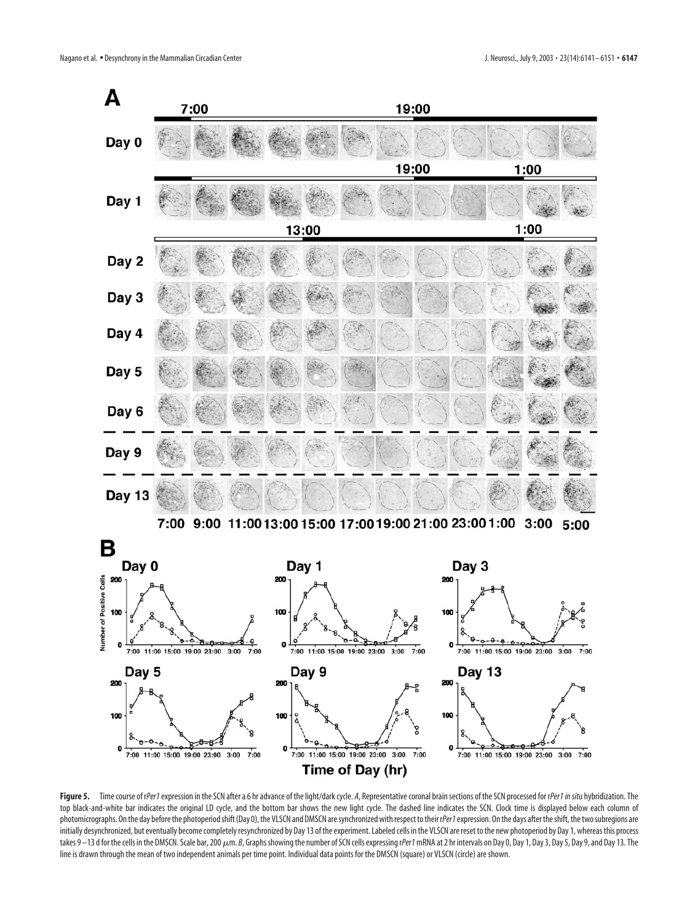

Figure 5. Time course of rPer1 expression in the SCN after a 6 hr advance of the light/dark cycle. *A*, Representative coronal brain sections of the SCN processed for rPer1 in situ hybridization. The top black-and-white bar indicates the original LD cycle, and the bottom bar shows the new light cycle. The dashed line indicates the SCN. Clock time is displayed below each column of photomicrographs. On the day before the photoperiod shift (Day 0), the VLSCN and DMSCN are synchronized with respect to their rPer1 expression. On the days after the shift, the two subregions are initially desynchronized, but eventually become completely resynchronized by Day 13 of the experiment. Labeled cells in the VLSCN are reset to the new photoperiod by Day 1, whereas this process takes 9 –13 d for the cells in the DMSCN. Scale bar, 200  $\mu$ m. *B*, Graphs showing the number of SCN cells expressing rPer1 mRNA at 2 hr intervals on Day 0, Day 1, Day 3, Day 5, Day 9, and Day 13. The line is drawn through the mean of two independent animals per time point. Individual data points for the DMSCN (square) or VLSCN (circle) are shown.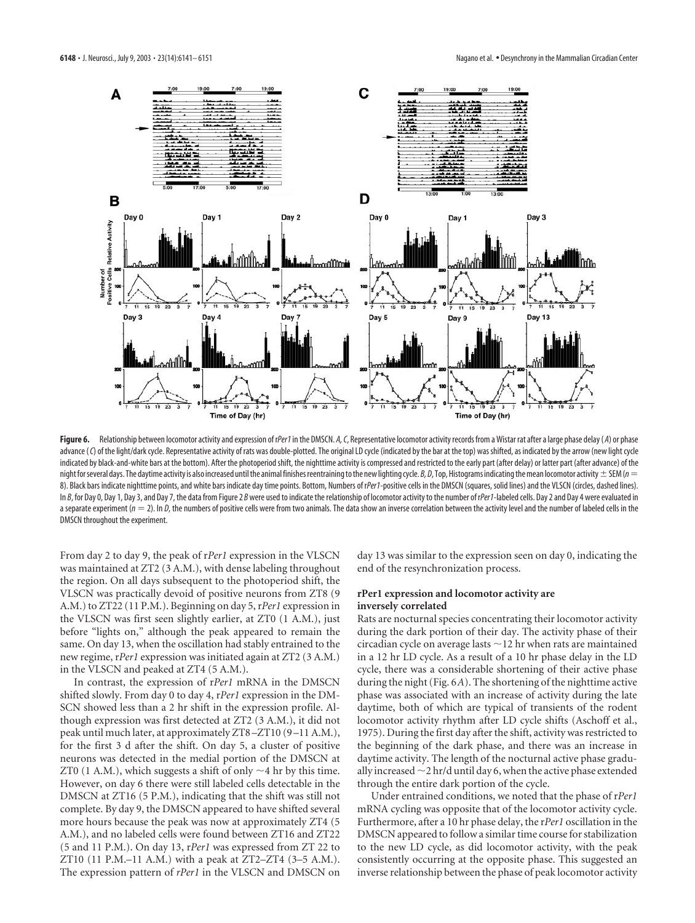

Figure 6. Relationship between locomotor activity and expression of rPer1 in the DMSCN. *A*, *C*, Representative locomotor activity records from a Wistar rat after a large phase delay (*A*) or phase advance (C) of the light/dark cycle. Representative activity of rats was double-plotted. The original LD cycle (indicated by the bar at the top) was shifted, as indicated by the arrow (new light cycle indicated by black-and-white bars at the bottom). After the photoperiod shift, the nighttime activity is compressed and restricted to the early part (after delay) or latter part (after advance) of the night for several days. The daytime activity is also increased until the animal finishes reentraining to the new lighting cycle. *B*, D, Top, Histograms indicating the mean locomotor activity  $\pm$  SEM ( $n =$ 8). Black bars indicate nighttime points, and white bars indicate day time points. Bottom, Numbers of rPer1-positive cells in the DMSCN (squares, solid lines) and the VLSCN (circles, dashed lines). In *B*, for Day 0, Day 1, Day 3, and Day 7, the data from Figure 2 *B* were used to indicate the relationship of locomotor activity to the number of r*Per1*-labeled cells. Day 2 and Day 4 were evaluated in a separate experiment ( $n = 2$ ). In D, the numbers of positive cells were from two animals. The data show an inverse correlation between the activity level and the number of labeled cells in the DMSCN throughout the experiment.

From day 2 to day 9, the peak of r*Per1* expression in the VLSCN was maintained at ZT2 (3 A.M.), with dense labeling throughout the region. On all days subsequent to the photoperiod shift, the VLSCN was practically devoid of positive neurons from ZT8 (9 A.M.) to ZT22 (11 P.M.). Beginning on day 5, r*Per1* expression in the VLSCN was first seen slightly earlier, at ZT0 (1 A.M.), just before "lights on," although the peak appeared to remain the same. On day 13, when the oscillation had stably entrained to the new regime, r*Per1* expression was initiated again at ZT2 (3 A.M.) in the VLSCN and peaked at ZT4 (5 A.M.).

In contrast, the expression of r*Per1* mRNA in the DMSCN shifted slowly. From day 0 to day 4, r*Per1* expression in the DM-SCN showed less than a 2 hr shift in the expression profile. Although expression was first detected at ZT2 (3 A.M.), it did not peak until much later, at approximately ZT8–ZT10 (9–11 A.M.), for the first 3 d after the shift. On day 5, a cluster of positive neurons was detected in the medial portion of the DMSCN at ZT0 (1 A.M.), which suggests a shift of only  $\sim$  4 hr by this time. However, on day 6 there were still labeled cells detectable in the DMSCN at ZT16 (5 P.M.), indicating that the shift was still not complete. By day 9, the DMSCN appeared to have shifted several more hours because the peak was now at approximately ZT4 (5 A.M.), and no labeled cells were found between ZT16 and ZT22 (5 and 11 P.M.). On day 13, r*Per1* was expressed from ZT 22 to ZT10 (11 P.M.–11 A.M.) with a peak at ZT2–ZT4 (3–5 A.M.). The expression pattern of *rPer1* in the VLSCN and DMSCN on

day 13 was similar to the expression seen on day 0, indicating the end of the resynchronization process.

## **rPer1 expression and locomotor activity are inversely correlated**

Rats are nocturnal species concentrating their locomotor activity during the dark portion of their day. The activity phase of their circadian cycle on average lasts  $\sim$  12 hr when rats are maintained in a 12 hr LD cycle. As a result of a 10 hr phase delay in the LD cycle, there was a considerable shortening of their active phase during the night (Fig. 6*A*). The shortening of the nighttime active phase was associated with an increase of activity during the late daytime, both of which are typical of transients of the rodent locomotor activity rhythm after LD cycle shifts (Aschoff et al., 1975). During the first day after the shift, activity was restricted to the beginning of the dark phase, and there was an increase in daytime activity. The length of the nocturnal active phase gradually increased  $\sim$  2 hr/d until day 6, when the active phase extended through the entire dark portion of the cycle.

Under entrained conditions, we noted that the phase of r*Per1* mRNA cycling was opposite that of the locomotor activity cycle. Furthermore, after a 10 hr phase delay, the r*Per1* oscillation in the DMSCN appeared to follow a similar time course for stabilization to the new LD cycle, as did locomotor activity, with the peak consistently occurring at the opposite phase. This suggested an inverse relationship between the phase of peak locomotor activity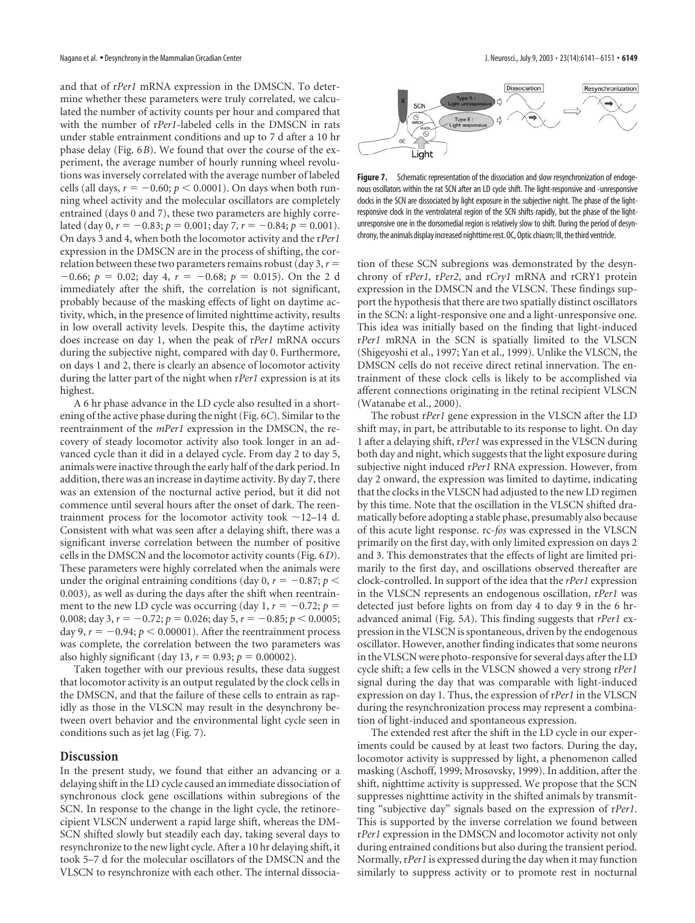and that of r*Per1* mRNA expression in the DMSCN. To determine whether these parameters were truly correlated, we calculated the number of activity counts per hour and compared that with the number of r*Per1*-labeled cells in the DMSCN in rats under stable entrainment conditions and up to 7 d after a 10 hr phase delay (Fig. 6*B*). We found that over the course of the experiment, the average number of hourly running wheel revolutions was inversely correlated with the average number of labeled cells (all days,  $r = -0.60; p < 0.0001$ ). On days when both running wheel activity and the molecular oscillators are completely entrained (days 0 and 7), these two parameters are highly correlated (day 0,  $r = -0.83$ ;  $p = 0.001$ ; day 7,  $r = -0.84$ ;  $p = 0.001$ ). On days 3 and 4, when both the locomotor activity and the r*Per1* expression in the DMSCN are in the process of shifting, the correlation between these two parameters remains robust (day 3,*r*  $-0.66$ ;  $p = 0.02$ ; day 4,  $r = -0.68$ ;  $p = 0.015$ ). On the 2 d immediately after the shift, the correlation is not significant, probably because of the masking effects of light on daytime activity, which, in the presence of limited nighttime activity, results in low overall activity levels. Despite this, the daytime activity does increase on day 1, when the peak of r*Per1* mRNA occurs during the subjective night, compared with day 0. Furthermore, on days 1 and 2, there is clearly an absence of locomotor activity during the latter part of the night when r*Per1* expression is at its highest.

A 6 hr phase advance in the LD cycle also resulted in a shortening of the active phase during the night (Fig. 6*C*). Similar to the reentrainment of the *mPer1* expression in the DMSCN, the recovery of steady locomotor activity also took longer in an advanced cycle than it did in a delayed cycle. From day 2 to day 5, animals were inactive through the early half of the dark period. In addition, there was an increase in daytime activity. By day 7, there was an extension of the nocturnal active period, but it did not commence until several hours after the onset of dark. The reentrainment process for the locomotor activity took  $\sim$ 12–14 d. Consistent with what was seen after a delaying shift, there was a significant inverse correlation between the number of positive cells in the DMSCN and the locomotor activity counts (Fig. 6*D*). These parameters were highly correlated when the animals were under the original entraining conditions (day 0,  $r = -0.87; p <$ 0.003), as well as during the days after the shift when reentrainment to the new LD cycle was occurring (day 1,  $r = -0.72$ ;  $p =$ 0.008; day 3,  $r = -0.72$ ;  $p = 0.026$ ; day 5,  $r = -0.85$ ;  $p < 0.0005$ ; day 9,  $r = -0.94$ ;  $p < 0.00001$ ). After the reentrainment process was complete, the correlation between the two parameters was also highly significant (day 13,  $r = 0.93$ ;  $p = 0.00002$ ).

Taken together with our previous results, these data suggest that locomotor activity is an output regulated by the clock cells in the DMSCN, and that the failure of these cells to entrain as rapidly as those in the VLSCN may result in the desynchrony between overt behavior and the environmental light cycle seen in conditions such as jet lag (Fig. 7).

## **Discussion**

In the present study, we found that either an advancing or a delaying shift in the LD cycle caused an immediate dissociation of synchronous clock gene oscillations within subregions of the SCN. In response to the change in the light cycle, the retinorecipient VLSCN underwent a rapid large shift, whereas the DM-SCN shifted slowly but steadily each day, taking several days to resynchronize to the new light cycle. After a 10 hr delaying shift, it took 5–7 d for the molecular oscillators of the DMSCN and the VLSCN to resynchronize with each other. The internal dissocia-



Figure 7. Schematic representation of the dissociation and slow resynchronization of endogenous oscillators within the rat SCN after an LD cycle shift. The light-responsive and -unresponsive clocks in the SCN are dissociated by light exposure in the subjective night. The phase of the lightresponsive clock in the ventrolateral region of the SCN shifts rapidly, but the phase of the lightunresponsive one in the dorsomedial region is relatively slow to shift. During the period of desynchrony, the animals display increased nighttime rest. OC, Optic chiasm; III, the third ventricle.

tion of these SCN subregions was demonstrated by the desynchrony of r*Per1,* r*Per2*, and r*Cry1* mRNA and rCRY1 protein expression in the DMSCN and the VLSCN. These findings support the hypothesis that there are two spatially distinct oscillators in the SCN: a light-responsive one and a light-unresponsive one. This idea was initially based on the finding that light-induced r*Per1* mRNA in the SCN is spatially limited to the VLSCN (Shigeyoshi et al., 1997; Yan et al., 1999). Unlike the VLSCN, the DMSCN cells do not receive direct retinal innervation. The entrainment of these clock cells is likely to be accomplished via afferent connections originating in the retinal recipient VLSCN (Watanabe et al., 2000).

The robust r*Per1* gene expression in the VLSCN after the LD shift may, in part, be attributable to its response to light. On day 1 after a delaying shift, r*Per1* was expressed in the VLSCN during both day and night, which suggests that the light exposure during subjective night induced r*Per1* RNA expression. However, from day 2 onward, the expression was limited to daytime, indicating that the clocks in the VLSCN had adjusted to the new LD regimen by this time. Note that the oscillation in the VLSCN shifted dramatically before adopting a stable phase, presumably also because of this acute light response. rc-*fos* was expressed in the VLSCN primarily on the first day, with only limited expression on days 2 and 3. This demonstrates that the effects of light are limited primarily to the first day, and oscillations observed thereafter are clock-controlled. In support of the idea that the *rPer1* expression in the VLSCN represents an endogenous oscillation, r*Per1* was detected just before lights on from day 4 to day 9 in the 6 hradvanced animal (Fig. 5*A*). This finding suggests that *rPer1* expression in the VLSCN is spontaneous, driven by the endogenous oscillator. However, another finding indicates that some neurons in the VLSCN were photo-responsive for several days after the LD cycle shift; a few cells in the VLSCN showed a very strong r*Per1* signal during the day that was comparable with light-induced expression on day 1. Thus, the expression of r*Per1* in the VLSCN during the resynchronization process may represent a combination of light-induced and spontaneous expression.

The extended rest after the shift in the LD cycle in our experiments could be caused by at least two factors. During the day, locomotor activity is suppressed by light, a phenomenon called masking (Aschoff, 1999; Mrosovsky, 1999). In addition, after the shift, nighttime activity is suppressed. We propose that the SCN suppresses nighttime activity in the shifted animals by transmitting "subjective day" signals based on the expression of r*Per1*. This is supported by the inverse correlation we found between r*Per1* expression in the DMSCN and locomotor activity not only during entrained conditions but also during the transient period. Normally, r*Per1* is expressed during the day when it may function similarly to suppress activity or to promote rest in nocturnal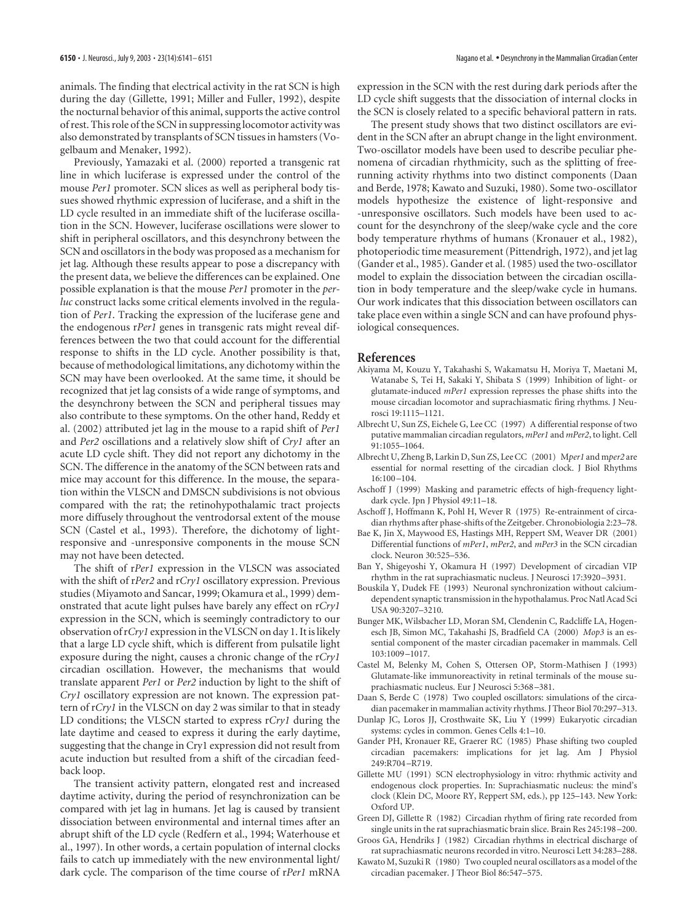animals. The finding that electrical activity in the rat SCN is high during the day (Gillette, 1991; Miller and Fuller, 1992), despite the nocturnal behavior of this animal, supports the active control of rest. This role of the SCN in suppressing locomotor activity was also demonstrated by transplants of SCN tissues in hamsters (Vogelbaum and Menaker, 1992).

Previously, Yamazaki et al. (2000) reported a transgenic rat line in which luciferase is expressed under the control of the mouse *Per1* promoter. SCN slices as well as peripheral body tissues showed rhythmic expression of luciferase, and a shift in the LD cycle resulted in an immediate shift of the luciferase oscillation in the SCN. However, luciferase oscillations were slower to shift in peripheral oscillators, and this desynchrony between the SCN and oscillators in the body was proposed as a mechanism for jet lag. Although these results appear to pose a discrepancy with the present data, we believe the differences can be explained. One possible explanation is that the mouse *Per1* promoter in the *perluc* construct lacks some critical elements involved in the regulation of *Per1*. Tracking the expression of the luciferase gene and the endogenous r*Per1* genes in transgenic rats might reveal differences between the two that could account for the differential response to shifts in the LD cycle. Another possibility is that, because of methodological limitations, any dichotomy within the SCN may have been overlooked. At the same time, it should be recognized that jet lag consists of a wide range of symptoms, and the desynchrony between the SCN and peripheral tissues may also contribute to these symptoms. On the other hand, Reddy et al. (2002) attributed jet lag in the mouse to a rapid shift of *Per1* and *Per2* oscillations and a relatively slow shift of *Cry1* after an acute LD cycle shift. They did not report any dichotomy in the SCN. The difference in the anatomy of the SCN between rats and mice may account for this difference. In the mouse, the separation within the VLSCN and DMSCN subdivisions is not obvious compared with the rat; the retinohypothalamic tract projects more diffusely throughout the ventrodorsal extent of the mouse SCN (Castel et al., 1993). Therefore, the dichotomy of lightresponsive and -unresponsive components in the mouse SCN may not have been detected.

The shift of r*Per1* expression in the VLSCN was associated with the shift of r*Per2* and r*Cry1* oscillatory expression. Previous studies (Miyamoto and Sancar, 1999; Okamura et al., 1999) demonstrated that acute light pulses have barely any effect on r*Cry1* expression in the SCN, which is seemingly contradictory to our observation of r*Cry1* expression in the VLSCN on day 1. It is likely that a large LD cycle shift, which is different from pulsatile light exposure during the night, causes a chronic change of the r*Cry1* circadian oscillation. However, the mechanisms that would translate apparent *Per1* or *Per2* induction by light to the shift of *Cry1* oscillatory expression are not known. The expression pattern of r*Cry1* in the VLSCN on day 2 was similar to that in steady LD conditions; the VLSCN started to express r*Cry1* during the late daytime and ceased to express it during the early daytime, suggesting that the change in Cry1 expression did not result from acute induction but resulted from a shift of the circadian feedback loop.

The transient activity pattern, elongated rest and increased daytime activity, during the period of resynchronization can be compared with jet lag in humans. Jet lag is caused by transient dissociation between environmental and internal times after an abrupt shift of the LD cycle (Redfern et al., 1994; Waterhouse et al., 1997). In other words, a certain population of internal clocks fails to catch up immediately with the new environmental light/ dark cycle. The comparison of the time course of r*Per1* mRNA

expression in the SCN with the rest during dark periods after the LD cycle shift suggests that the dissociation of internal clocks in the SCN is closely related to a specific behavioral pattern in rats.

The present study shows that two distinct oscillators are evident in the SCN after an abrupt change in the light environment. Two-oscillator models have been used to describe peculiar phenomena of circadian rhythmicity, such as the splitting of freerunning activity rhythms into two distinct components (Daan and Berde, 1978; Kawato and Suzuki, 1980). Some two-oscillator models hypothesize the existence of light-responsive and -unresponsive oscillators. Such models have been used to account for the desynchrony of the sleep/wake cycle and the core body temperature rhythms of humans (Kronauer et al., 1982), photoperiodic time measurement (Pittendrigh, 1972), and jet lag (Gander et al., 1985). Gander et al. (1985) used the two-oscillator model to explain the dissociation between the circadian oscillation in body temperature and the sleep/wake cycle in humans. Our work indicates that this dissociation between oscillators can take place even within a single SCN and can have profound physiological consequences.

#### **References**

- Akiyama M, Kouzu Y, Takahashi S, Wakamatsu H, Moriya T, Maetani M, Watanabe S, Tei H, Sakaki Y, Shibata S (1999) Inhibition of light- or glutamate-induced *mPer1* expression represses the phase shifts into the mouse circadian locomotor and suprachiasmatic firing rhythms. J Neurosci 19:1115–1121.
- Albrecht U, Sun ZS, Eichele G, Lee CC (1997) A differential response of two putative mammalian circadian regulators, *mPer1* and *mPer2*, to light. Cell 91:1055–1064.
- Albrecht U, Zheng B, Larkin D, Sun ZS, Lee CC (2001) M*per1* and m*per2* are essential for normal resetting of the circadian clock. J Biol Rhythms 16:100–104.
- Aschoff J (1999) Masking and parametric effects of high-frequency lightdark cycle. Jpn J Physiol 49:11–18.
- Aschoff J, Hoffmann K, Pohl H, Wever R (1975) Re-entrainment of circadian rhythms after phase-shifts of the Zeitgeber. Chronobiologia 2:23–78.
- Bae K, Jin X, Maywood ES, Hastings MH, Reppert SM, Weaver DR (2001) Differential functions of *mPer1*, *mPer2*, and *mPer3* in the SCN circadian clock. Neuron 30:525–536.
- Ban Y, Shigeyoshi Y, Okamura H (1997) Development of circadian VIP rhythm in the rat suprachiasmatic nucleus. J Neurosci 17:3920–3931.
- Bouskila Y, Dudek FE (1993) Neuronal synchronization without calciumdependent synaptic transmission in the hypothalamus. Proc Natl Acad Sci USA 90:3207–3210.
- Bunger MK, Wilsbacher LD, Moran SM, Clendenin C, Radcliffe LA, Hogenesch JB, Simon MC, Takahashi JS, Bradfield CA (2000) *Mop3* is an essential component of the master circadian pacemaker in mammals. Cell 103:1009–1017.
- Castel M, Belenky M, Cohen S, Ottersen OP, Storm-Mathisen J (1993) Glutamate-like immunoreactivity in retinal terminals of the mouse suprachiasmatic nucleus. Eur J Neurosci 5:368–381.
- Daan S, Berde C (1978) Two coupled oscillators: simulations of the circadian pacemaker in mammalian activity rhythms. J Theor Biol 70:297–313.
- Dunlap JC, Loros JJ, Crosthwaite SK, Liu Y (1999) Eukaryotic circadian systems: cycles in common. Genes Cells 4:1–10.
- Gander PH, Kronauer RE, Graerer RC (1985) Phase shifting two coupled circadian pacemakers: implications for jet lag. Am J Physiol 249:R704–R719.
- Gillette MU (1991) SCN electrophysiology in vitro: rhythmic activity and endogenous clock properties. In: Suprachiasmatic nucleus: the mind's clock (Klein DC, Moore RY, Reppert SM, eds.), pp 125–143. New York: Oxford UP.
- Green DJ, Gillette R (1982) Circadian rhythm of firing rate recorded from single units in the rat suprachiasmatic brain slice. Brain Res 245:198–200.
- Groos GA, Hendriks J (1982) Circadian rhythms in electrical discharge of rat suprachiasmatic neurons recorded in vitro. Neurosci Lett 34:283–288.
- Kawato M, Suzuki R (1980) Two coupled neural oscillators as a model of the circadian pacemaker. J Theor Biol 86:547–575.